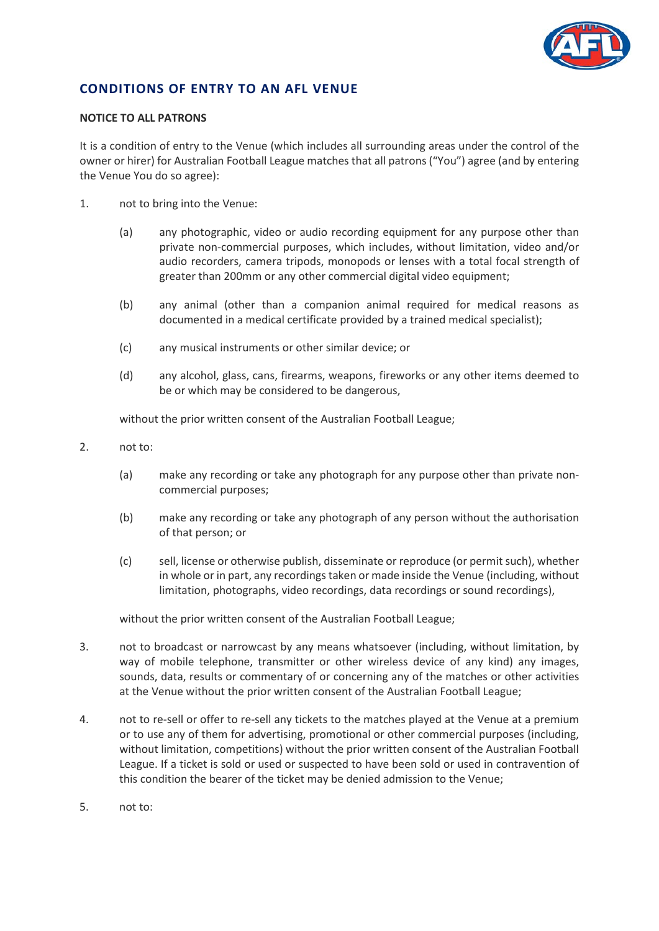

## **CONDITIONS OF ENTRY TO AN AFL VENUE**

## **NOTICE TO ALL PATRONS**

It is a condition of entry to the Venue (which includes all surrounding areas under the control of the owner or hirer) for Australian Football League matches that all patrons ("You") agree (and by entering the Venue You do so agree):

- 1. not to bring into the Venue:
	- (a) any photographic, video or audio recording equipment for any purpose other than private non-commercial purposes, which includes, without limitation, video and/or audio recorders, camera tripods, monopods or lenses with a total focal strength of greater than 200mm or any other commercial digital video equipment;
	- (b) any animal (other than a companion animal required for medical reasons as documented in a medical certificate provided by a trained medical specialist);
	- (c) any musical instruments or other similar device; or
	- (d) any alcohol, glass, cans, firearms, weapons, fireworks or any other items deemed to be or which may be considered to be dangerous,

without the prior written consent of the Australian Football League;

- 2. not to:
	- (a) make any recording or take any photograph for any purpose other than private noncommercial purposes;
	- (b) make any recording or take any photograph of any person without the authorisation of that person; or
	- (c) sell, license or otherwise publish, disseminate or reproduce (or permit such), whether in whole or in part, any recordings taken or made inside the Venue (including, without limitation, photographs, video recordings, data recordings or sound recordings),

without the prior written consent of the Australian Football League;

- 3. not to broadcast or narrowcast by any means whatsoever (including, without limitation, by way of mobile telephone, transmitter or other wireless device of any kind) any images, sounds, data, results or commentary of or concerning any of the matches or other activities at the Venue without the prior written consent of the Australian Football League;
- 4. not to re-sell or offer to re-sell any tickets to the matches played at the Venue at a premium or to use any of them for advertising, promotional or other commercial purposes (including, without limitation, competitions) without the prior written consent of the Australian Football League. If a ticket is sold or used or suspected to have been sold or used in contravention of this condition the bearer of the ticket may be denied admission to the Venue;
- 5. not to: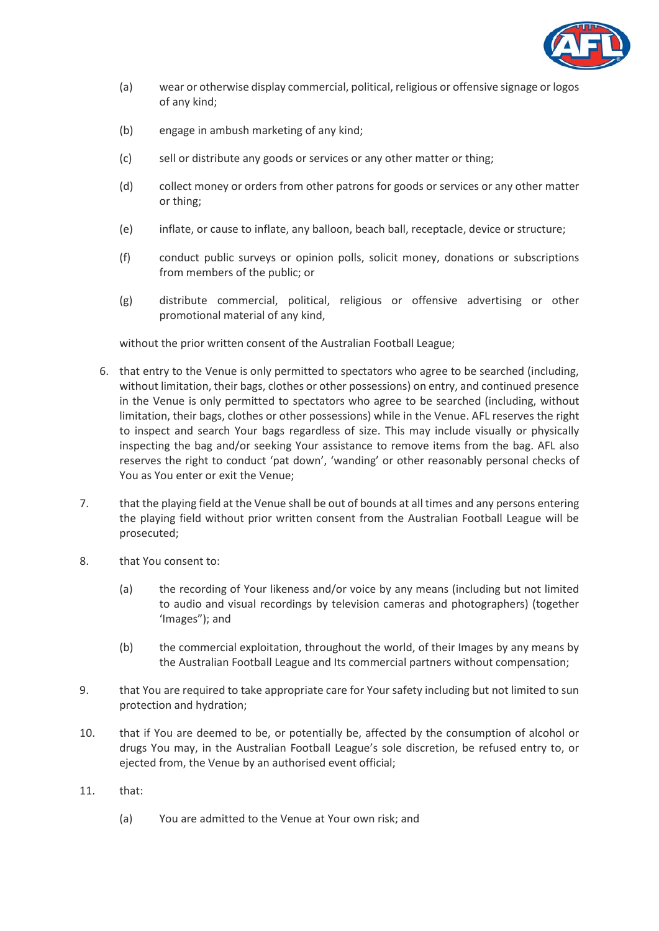

- (a) wear or otherwise display commercial, political, religious or offensive signage or logos of any kind;
- (b) engage in ambush marketing of any kind;
- (c) sell or distribute any goods or services or any other matter or thing;
- (d) collect money or orders from other patrons for goods or services or any other matter or thing;
- (e) inflate, or cause to inflate, any balloon, beach ball, receptacle, device or structure;
- (f) conduct public surveys or opinion polls, solicit money, donations or subscriptions from members of the public; or
- (g) distribute commercial, political, religious or offensive advertising or other promotional material of any kind,

without the prior written consent of the Australian Football League;

- 6. that entry to the Venue is only permitted to spectators who agree to be searched (including, without limitation, their bags, clothes or other possessions) on entry, and continued presence in the Venue is only permitted to spectators who agree to be searched (including, without limitation, their bags, clothes or other possessions) while in the Venue. AFL reserves the right to inspect and search Your bags regardless of size. This may include visually or physically inspecting the bag and/or seeking Your assistance to remove items from the bag. AFL also reserves the right to conduct 'pat down', 'wanding' or other reasonably personal checks of You as You enter or exit the Venue;
- 7. that the playing field at the Venue shall be out of bounds at all times and any persons entering the playing field without prior written consent from the Australian Football League will be prosecuted;
- 8. that You consent to:
	- (a) the recording of Your likeness and/or voice by any means (including but not limited to audio and visual recordings by television cameras and photographers) (together 'Images"); and
	- (b) the commercial exploitation, throughout the world, of their Images by any means by the Australian Football League and Its commercial partners without compensation;
- 9. that You are required to take appropriate care for Your safety including but not limited to sun protection and hydration;
- 10. that if You are deemed to be, or potentially be, affected by the consumption of alcohol or drugs You may, in the Australian Football League's sole discretion, be refused entry to, or ejected from, the Venue by an authorised event official;
- 11. that:
	- (a) You are admitted to the Venue at Your own risk; and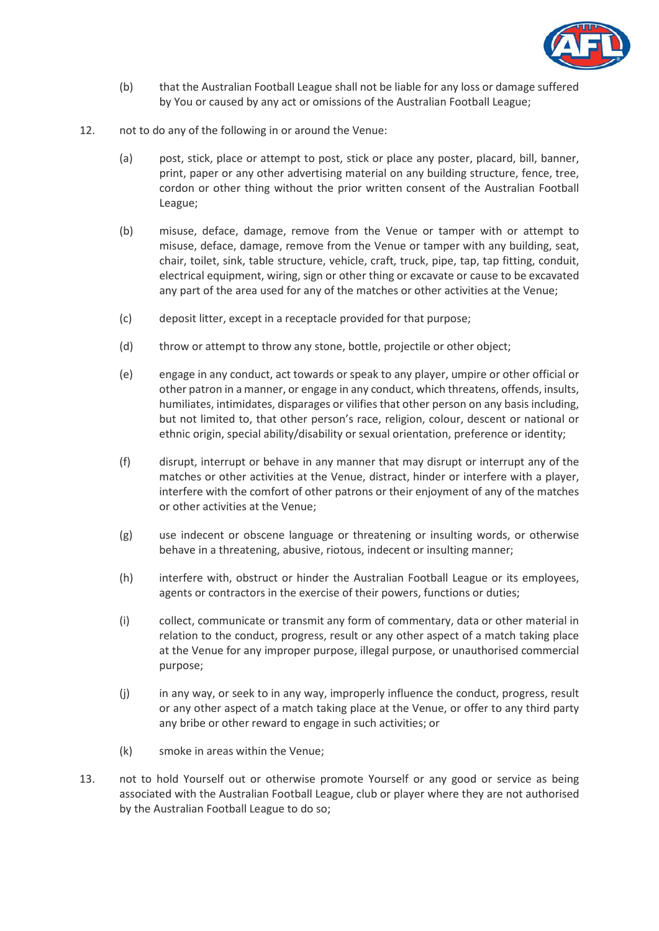

- (b) that the Australian Football League shall not be liable for any loss or damage suffered by You or caused by any act or omissions of the Australian Football League;
- 12. not to do any of the following in or around the Venue:
	- (a) post, stick, place or attempt to post, stick or place any poster, placard, bill, banner, print, paper or any other advertising material on any building structure, fence, tree, cordon or other thing without the prior written consent of the Australian Football League;
	- (b) misuse, deface, damage, remove from the Venue or tamper with or attempt to misuse, deface, damage, remove from the Venue or tamper with any building, seat, chair, toilet, sink, table structure, vehicle, craft, truck, pipe, tap, tap fitting, conduit, electrical equipment, wiring, sign or other thing or excavate or cause to be excavated any part of the area used for any of the matches or other activities at the Venue;
	- (c) deposit litter, except in a receptacle provided for that purpose;
	- (d) throw or attempt to throw any stone, bottle, projectile or other object;
	- (e) engage in any conduct, act towards or speak to any player, umpire or other official or other patron in a manner, or engage in any conduct, which threatens, offends, insults, humiliates, intimidates, disparages or vilifies that other person on any basis including, but not limited to, that other person's race, religion, colour, descent or national or ethnic origin, special ability/disability or sexual orientation, preference or identity;
	- (f) disrupt, interrupt or behave in any manner that may disrupt or interrupt any of the matches or other activities at the Venue, distract, hinder or interfere with a player, interfere with the comfort of other patrons or their enjoyment of any of the matches or other activities at the Venue;
	- (g) use indecent or obscene language or threatening or insulting words, or otherwise behave in a threatening, abusive, riotous, indecent or insulting manner;
	- (h) interfere with, obstruct or hinder the Australian Football League or its employees, agents or contractors in the exercise of their powers, functions or duties;
	- (i) collect, communicate or transmit any form of commentary, data or other material in relation to the conduct, progress, result or any other aspect of a match taking place at the Venue for any improper purpose, illegal purpose, or unauthorised commercial purpose;
	- (j) in any way, or seek to in any way, improperly influence the conduct, progress, result or any other aspect of a match taking place at the Venue, or offer to any third party any bribe or other reward to engage in such activities; or
	- (k) smoke in areas within the Venue;
- 13. not to hold Yourself out or otherwise promote Yourself or any good or service as being associated with the Australian Football League, club or player where they are not authorised by the Australian Football League to do so;